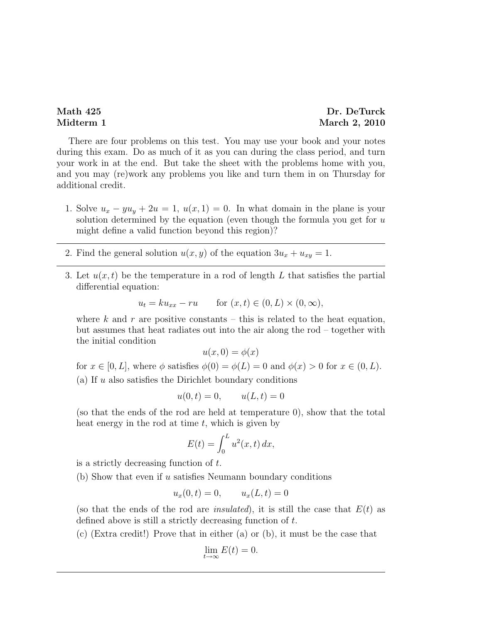## Math 425 Dr. DeTurck Midterm 1 March 2, 2010

There are four problems on this test. You may use your book and your notes during this exam. Do as much of it as you can during the class period, and turn your work in at the end. But take the sheet with the problems home with you, and you may (re)work any problems you like and turn them in on Thursday for additional credit.

- 1. Solve  $u_x yu_y + 2u = 1$ ,  $u(x, 1) = 0$ . In what domain in the plane is your solution determined by the equation (even though the formula you get for  $u$ might define a valid function beyond this region)?
- 2. Find the general solution  $u(x, y)$  of the equation  $3u_x + u_{xy} = 1$ .
- 3. Let  $u(x, t)$  be the temperature in a rod of length L that satisfies the partial differential equation:

$$
u_t = k u_{xx} - r u \qquad \text{for } (x, t) \in (0, L) \times (0, \infty),
$$

where k and r are positive constants – this is related to the heat equation, but assumes that heat radiates out into the air along the rod – together with the initial condition

$$
u(x,0) = \phi(x)
$$

for  $x \in [0, L]$ , where  $\phi$  satisfies  $\phi(0) = \phi(L) = 0$  and  $\phi(x) > 0$  for  $x \in (0, L)$ . (a) If  $u$  also satisfies the Dirichlet boundary conditions

$$
u(0, t) = 0,
$$
  $u(L, t) = 0$ 

(so that the ends of the rod are held at temperature 0), show that the total heat energy in the rod at time  $t$ , which is given by

$$
E(t) = \int_0^L u^2(x, t) \, dx,
$$

is a strictly decreasing function of t.

(b) Show that even if  $u$  satisfies Neumann boundary conditions

$$
u_x(0,t) = 0,
$$
  $u_x(L,t) = 0$ 

(so that the ends of the rod are *insulated*), it is still the case that  $E(t)$  as defined above is still a strictly decreasing function of t.

(c) (Extra credit!) Prove that in either (a) or (b), it must be the case that

$$
\lim_{t \to \infty} E(t) = 0.
$$